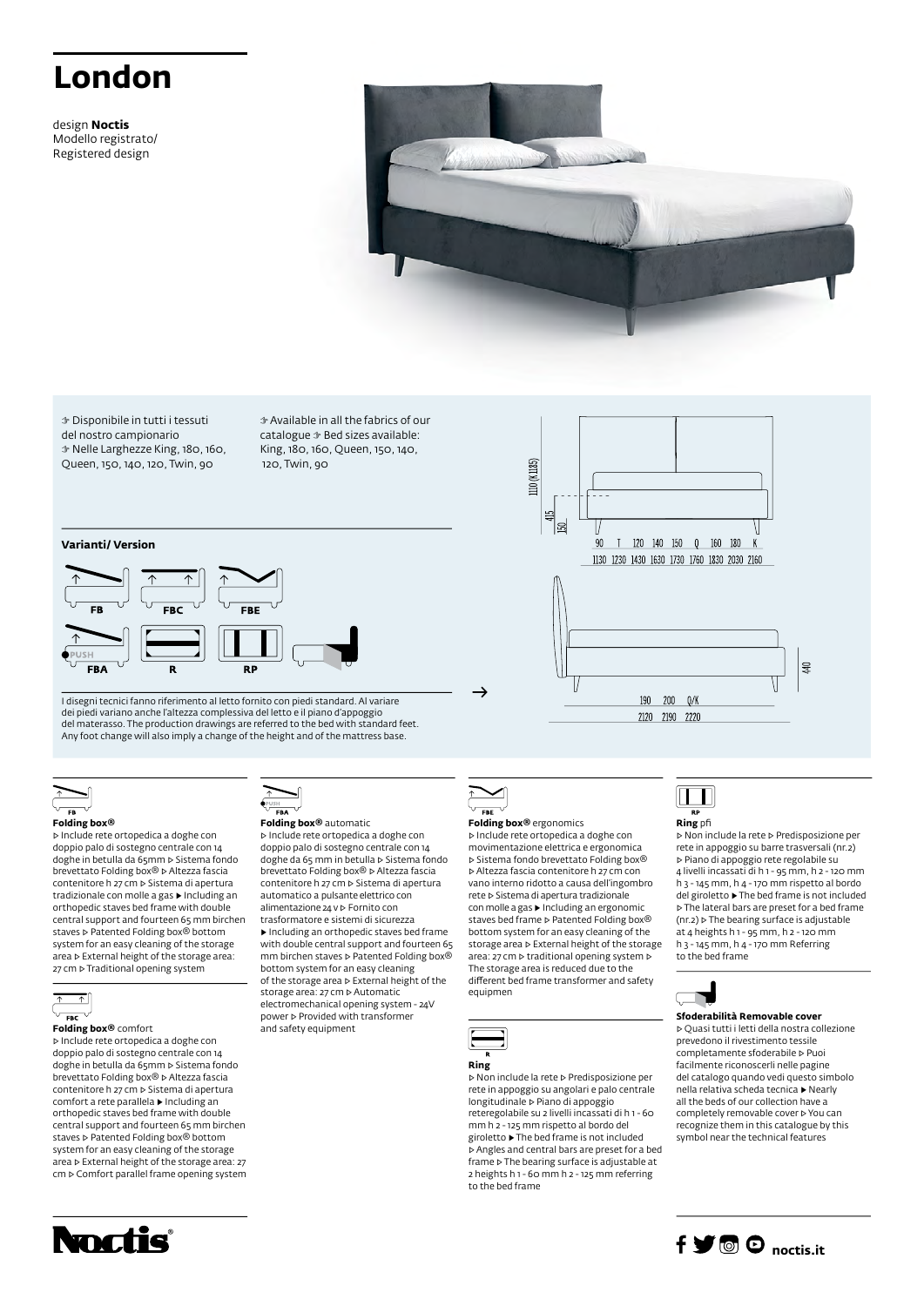# **London**

design **Noctis** Modello registrato/ Registered design



☞ Disponibile in tutti i tessuti del nostro campionario ☞ Nelle Larghezze King, 180, 160, Queen, 150, 140, 120, Twin, 90

☞ Available in all the fabrics of our catalogue ☞ Bed sizes available: King, 180, 160, Queen, 150, 140, 120, Twin, 90

## **Varianti/ Version**



I disegni tecnici fanno riferimento al letto fornito con piedi standard. Al variare dei piedi variano anche l'altezza complessiva del letto e il piano d'appoggio del materasso. The production drawings are referred to the bed with standard feet. Any foot change will also imply a change of the height and of the mattress base.



#### **Folding box®**

▷ Include rete ortopedica a doghe con doppio palo di sostegno centrale con 14 doghe in betulla da 65mm ▷ Sistema fondo brevettato Folding box® ▷ Altezza fascia contenitore h 27 cm ▷ Sistema di apertura tradizionale con molle a gas ▶ Including an orthopedic staves bed frame with double central support and fourteen 65 mm birchen staves **▷ Patented Folding box®** bottom system for an easy cleaning of the storage area ▷ External height of the storage area: 27 cm ⊳ Traditional opening system



**Folding box®** comfort ▷ Include rete ortopedica a doghe con

doppio palo di sostegno centrale con 14 doghe in betulla da 65mm ⊳ Sistema fondo<br>brevettato Folding box® ⊳ Altezza fascia contenitore h 27 cm ▷ Sistema di apertura comfort a rete parallela ▶ Including an orthopedic staves bed frame with double central support and fourteen 65 mm birchen staves ▷ Patented Folding box® bottom system for an easy cleaning of the storage area ▷ External height of the storage area: 27 cm ▷ Comfort parallel frame opening system



#### **Folding box®** automatic

and safety equipment

▷ Include rete ortopedica a doghe con doppio palo di sostegno centrale con 14 doghe da 65 mm in betulla ▷ Sistema fondo brevettato Folding box® ▷ Altezza fascia contenitore h 27 cm ▷ Sistema di apertura automatico a pulsante elettrico con alimentazione 24 v ▷ Fornito con trasformatore e sistemi di sicurezza ▶ Including an orthopedic staves bed frame with double central support and fourteen 65 mm birchen staves ▷ Patented Folding box® bottom system for an easy cleaning of the storage area ▷ External height of the storage area: 27 cm ▷ Automatic electromechanical opening system - 24V power ▷ Provided with transformer



→

### **Folding box®** ergonomics

110 (K1185)

 $45$ 18

> 90  $\mathsf{T}$

▷ Include rete ortopedica a doghe con movimentazione elettrica e ergonomica ▷ Sistema fondo brevettato Folding box® ▷ Altezza fascia contenitore h 27 cm con vano interno ridotto a causa dell'ingombro rete ▷ Sistema di apertura tradizionale con molle a gas ▶ Including an ergonomic staves bed frame ▷ Patented Folding box® bottom system for an easy cleaning of the storage area ▷ External height of the storage area: 27 cm ▷ traditional opening system ▷ The storage area is reduced due to the different bed frame transformer and safety equipmen



▷ Non include la rete ▷ Predisposizione per rete in appoggio su angolari e palo centrale longitudinale ▷ Piano di appoggio reteregolabile su 2 livelli incassati di h 1 - 60 mm h 2 - 125 mm rispetto al bordo del giroletto ▶ The bed frame is not included ▷ Angles and central bars are preset for a bed frame ▷ The bearing surface is adjustable at 2 heights h 1 - 60 mm h 2 - 125 mm referring to the bed frame



120 140 150 0 160 180

1130 1230 1430 1630 1730 1760 1830 2030 2160

190  $200$  $0/k$ 2120 2190 2220

> **Ring** pfi ▷ Non include la rete ▷ Predisposizione per

rete in appoggio su barre trasversali (nr.2) ▷ Piano di appoggio rete regolabile su 4 livelli incassati di h 1 - 95 mm, h 2 - 120 mm h 3 - 145 mm, h 4 - 170 mm rispetto al bordo del giroletto ▶ The bed frame is not included ▷ The lateral bars are preset for a bed frame (nr.2) ▷ The bearing surface is adjustable at 4 heights h 1 - 95 mm, h 2 - 120 mm h 3 - 145 mm, h 4 - 170 mm Referring to the bed frame

 $\overline{a}$ 



#### **Sfoderabilità Removable cover**

▷ Quasi tutti i letti della nostra collezione prevedono il rivestimento tessile completamente sfoderabile ▷ Puoi facilmente riconoscerli nelle pagine del catalogo quando vedi questo simbolo nella relativa scheda tecnica ▶ Nearly all the beds of our collection have a completely removable cover ▷ You can recognize them in this catalogue by this symbol near the technical features